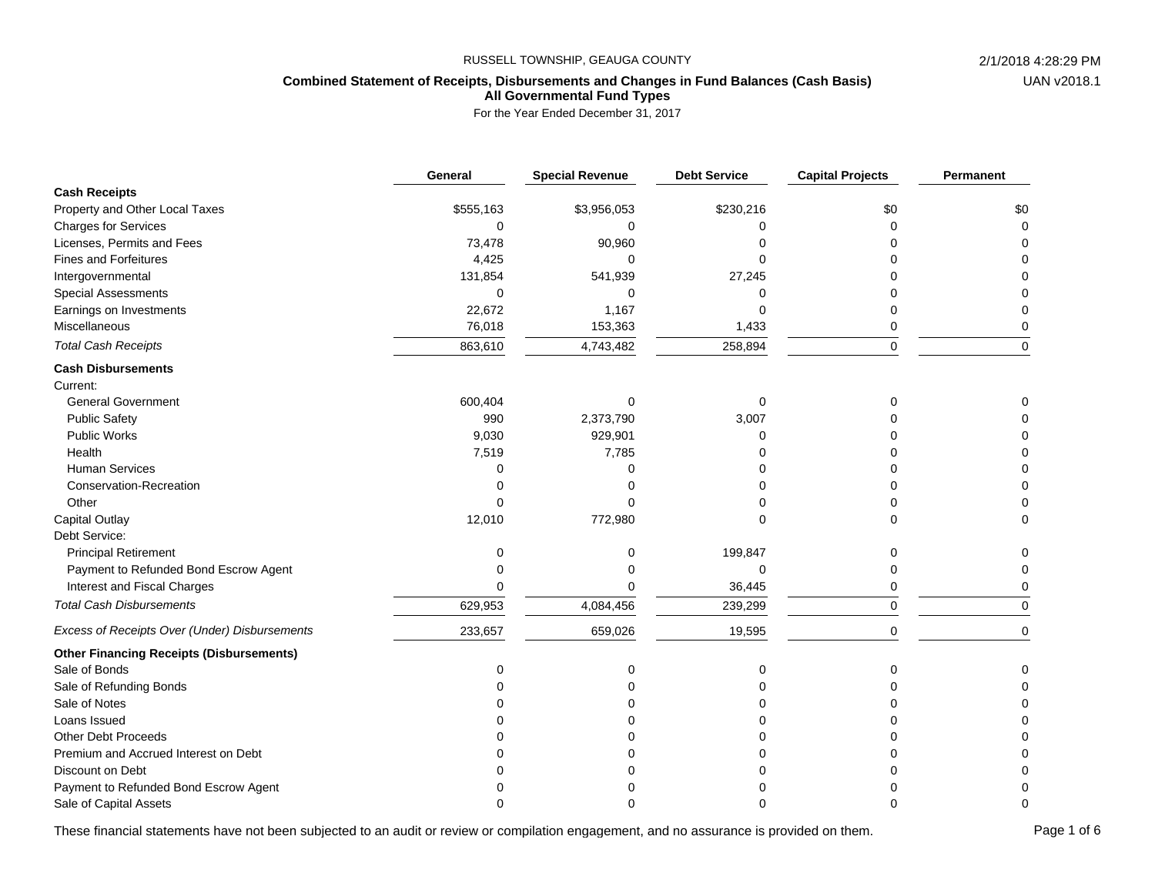# **Combined Statement of Receipts, Disbursements and Changes in Fund Balances (Cash Basis) All Governmental Fund Types**

For the Year Ended December 31, 2017

|                                                 | General      | <b>Special Revenue</b> | <b>Debt Service</b> | <b>Capital Projects</b> | Permanent   |
|-------------------------------------------------|--------------|------------------------|---------------------|-------------------------|-------------|
| <b>Cash Receipts</b>                            |              |                        |                     |                         |             |
| Property and Other Local Taxes                  | \$555,163    | \$3,956,053            | \$230,216           | \$0                     | \$0         |
| <b>Charges for Services</b>                     | $\mathbf 0$  | 0                      |                     |                         | 0           |
| Licenses, Permits and Fees                      | 73,478       | 90,960                 |                     |                         |             |
| <b>Fines and Forfeitures</b>                    | 4,425        | $\Omega$               |                     |                         | U           |
| Intergovernmental                               | 131,854      | 541,939                | 27,245              |                         | 0           |
| <b>Special Assessments</b>                      | $\mathbf 0$  | $\Omega$               | ŋ                   |                         | 0           |
| Earnings on Investments                         | 22,672       | 1,167                  |                     |                         | 0           |
| Miscellaneous                                   | 76,018       | 153,363                | 1,433               | 0                       | 0           |
| <b>Total Cash Receipts</b>                      | 863,610      | 4,743,482              | 258,894             | $\mathbf 0$             | $\mathbf 0$ |
| <b>Cash Disbursements</b>                       |              |                        |                     |                         |             |
| Current:                                        |              |                        |                     |                         |             |
| <b>General Government</b>                       | 600,404      |                        | $\Omega$            |                         |             |
| <b>Public Safety</b>                            | 990          | 2,373,790              | 3,007               |                         |             |
| <b>Public Works</b>                             | 9,030        | 929,901                |                     |                         | 0           |
| Health                                          | 7,519        | 7,785                  |                     |                         | 0           |
| <b>Human Services</b>                           | $\Omega$     |                        |                     |                         | 0           |
| Conservation-Recreation                         | 0            |                        |                     |                         | $\Omega$    |
| Other                                           | 0            |                        |                     |                         | 0           |
| Capital Outlay                                  | 12,010       | 772,980                | ∩                   | U                       | $\Omega$    |
| Debt Service:                                   |              |                        |                     |                         |             |
| <b>Principal Retirement</b>                     | 0            | 0                      | 199,847             |                         | 0           |
| Payment to Refunded Bond Escrow Agent           | ი            | U                      | $\Omega$            |                         | 0           |
| Interest and Fiscal Charges                     | <sup>0</sup> | በ                      | 36,445              | 0                       | 0           |
| <b>Total Cash Disbursements</b>                 | 629,953      | 4,084,456              | 239,299             | 0                       | 0           |
| Excess of Receipts Over (Under) Disbursements   | 233,657      | 659,026                | 19,595              | 0                       | $\mathbf 0$ |
| <b>Other Financing Receipts (Disbursements)</b> |              |                        |                     |                         |             |
| Sale of Bonds                                   | 0            | 0                      | 0                   | $\Omega$                | 0           |
| Sale of Refunding Bonds                         | ი            |                        |                     |                         | $\Omega$    |
| Sale of Notes                                   |              |                        |                     |                         | 0           |
| Loans Issued                                    |              |                        |                     |                         |             |
| <b>Other Debt Proceeds</b>                      |              |                        |                     |                         |             |
| Premium and Accrued Interest on Debt            |              |                        |                     |                         | $\Omega$    |
| Discount on Debt                                |              |                        |                     |                         | 0           |
| Payment to Refunded Bond Escrow Agent           |              |                        |                     |                         | 0           |
| Sale of Capital Assets                          | n            |                        |                     |                         | $\Omega$    |

These financial statements have not been subjected to an audit or review or compilation engagement, and no assurance is provided on them. Page 1 of 6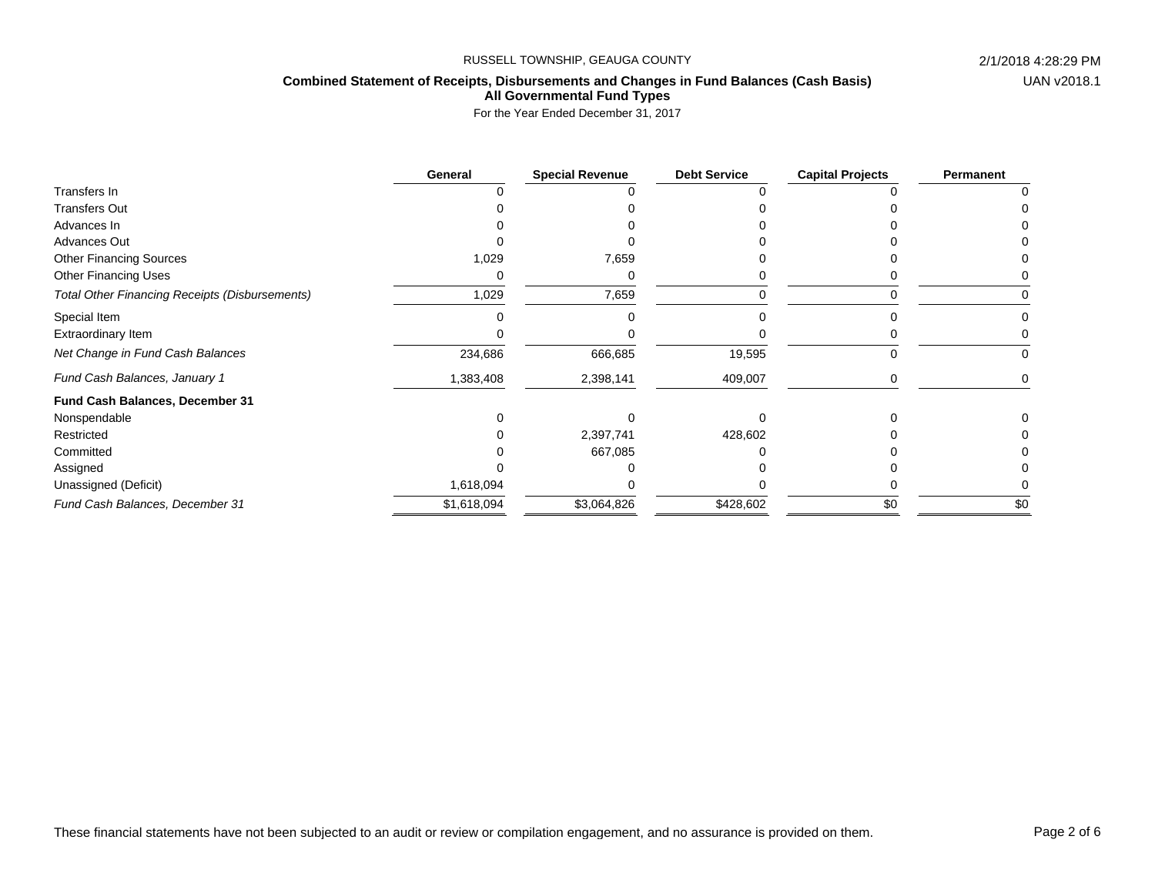# **Combined Statement of Receipts, Disbursements and Changes in Fund Balances (Cash Basis)**

**All Governmental Fund Types**

|                                                       | General     | <b>Special Revenue</b> | <b>Debt Service</b> | <b>Capital Projects</b> | Permanent |
|-------------------------------------------------------|-------------|------------------------|---------------------|-------------------------|-----------|
| Transfers In                                          |             |                        |                     |                         |           |
| <b>Transfers Out</b>                                  |             |                        |                     |                         |           |
| Advances In                                           |             |                        |                     |                         |           |
| Advances Out                                          |             |                        |                     |                         |           |
| <b>Other Financing Sources</b>                        | 1,029       | 7,659                  |                     |                         |           |
| <b>Other Financing Uses</b>                           |             |                        |                     |                         |           |
| <b>Total Other Financing Receipts (Disbursements)</b> | 1,029       | 7,659                  |                     |                         |           |
| Special Item                                          |             |                        |                     |                         |           |
| Extraordinary Item                                    |             |                        |                     |                         |           |
| Net Change in Fund Cash Balances                      | 234,686     | 666,685                | 19,595              |                         |           |
| Fund Cash Balances, January 1                         | 1,383,408   | 2,398,141              | 409,007             |                         |           |
| Fund Cash Balances, December 31                       |             |                        |                     |                         |           |
| Nonspendable                                          |             |                        |                     |                         |           |
| Restricted                                            |             | 2,397,741              | 428,602             |                         |           |
| Committed                                             |             | 667,085                |                     |                         |           |
| Assigned                                              |             |                        |                     |                         |           |
| Unassigned (Deficit)                                  | 1,618,094   |                        |                     |                         |           |
| Fund Cash Balances, December 31                       | \$1,618,094 | \$3,064,826            | \$428,602           | \$0                     | \$0       |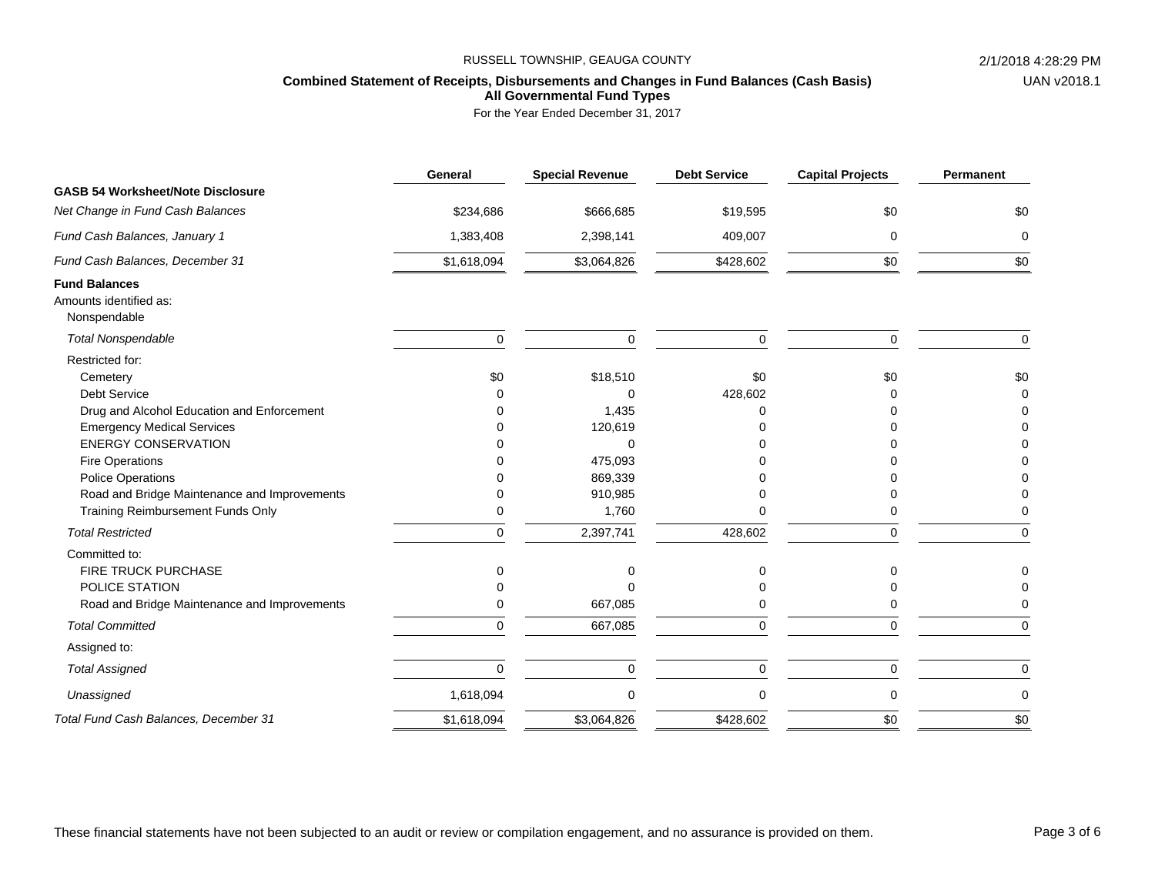## **Combined Statement of Receipts, Disbursements and Changes in Fund Balances (Cash Basis) All Governmental Fund Types**

|                                              | General     | <b>Special Revenue</b> | <b>Debt Service</b> | <b>Capital Projects</b> | Permanent |
|----------------------------------------------|-------------|------------------------|---------------------|-------------------------|-----------|
| <b>GASB 54 Worksheet/Note Disclosure</b>     |             |                        |                     |                         |           |
| Net Change in Fund Cash Balances             | \$234,686   | \$666,685              | \$19,595            | \$0                     | \$0       |
| Fund Cash Balances, January 1                | 1,383,408   | 2,398,141              | 409,007             | $\mathbf 0$             | $\Omega$  |
| Fund Cash Balances, December 31              | \$1,618,094 | \$3,064,826            | \$428,602           | \$0                     | \$0       |
| <b>Fund Balances</b>                         |             |                        |                     |                         |           |
| Amounts identified as:                       |             |                        |                     |                         |           |
| Nonspendable                                 |             |                        |                     |                         |           |
| <b>Total Nonspendable</b>                    | $\mathbf 0$ | $\mathbf 0$            | $\mathbf 0$         | $\mathbf 0$             | $\Omega$  |
| Restricted for:                              |             |                        |                     |                         |           |
| Cemetery                                     | \$0         | \$18,510               | \$0                 | \$0                     | \$0       |
| <b>Debt Service</b>                          | ∩           | $\mathbf 0$            | 428,602             | ∩                       | $\Omega$  |
| Drug and Alcohol Education and Enforcement   |             | 1,435                  | ∩                   |                         |           |
| <b>Emergency Medical Services</b>            |             | 120,619                |                     |                         |           |
| <b>ENERGY CONSERVATION</b>                   |             | $\Omega$               |                     |                         |           |
| <b>Fire Operations</b>                       |             | 475,093                |                     |                         |           |
| <b>Police Operations</b>                     |             | 869,339                |                     |                         |           |
| Road and Bridge Maintenance and Improvements | $\Omega$    | 910,985                |                     |                         |           |
| Training Reimbursement Funds Only            | $\mathbf 0$ | 1,760                  |                     | 0                       |           |
| <b>Total Restricted</b>                      | $\Omega$    | 2,397,741              | 428,602             | $\mathbf 0$             | $\Omega$  |
| Committed to:                                |             |                        |                     |                         |           |
| <b>FIRE TRUCK PURCHASE</b>                   | ∩           | n                      | U                   | ∩                       |           |
| POLICE STATION                               |             |                        |                     |                         |           |
| Road and Bridge Maintenance and Improvements | 0           | 667,085                |                     | 0                       |           |
| <b>Total Committed</b>                       | $\mathbf 0$ | 667,085                | $\mathbf 0$         | $\mathbf 0$             | $\Omega$  |
| Assigned to:                                 |             |                        |                     |                         |           |
| <b>Total Assigned</b>                        | $\Omega$    | $\Omega$               | $\Omega$            | $\Omega$                | $\Omega$  |
| Unassigned                                   | 1,618,094   | $\mathbf 0$            | $\Omega$            | $\mathbf 0$             | 0         |
| Total Fund Cash Balances, December 31        | \$1,618,094 | \$3,064,826            | \$428,602           | \$0                     | \$0       |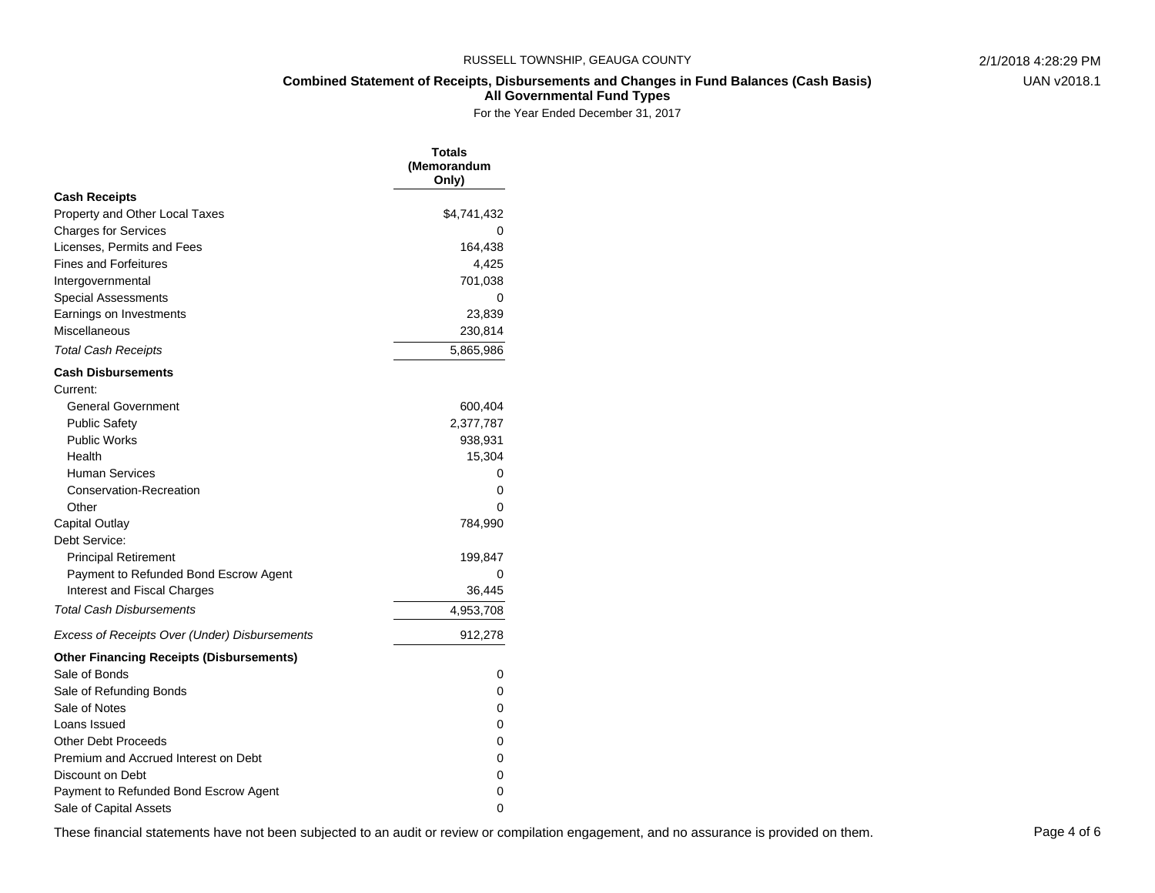**Combined Statement of Receipts, Disbursements and Changes in Fund Balances (Cash Basis)**

**All Governmental Fund Types**

For the Year Ended December 31, 2017

|                                                 | <b>Totals</b><br>(Memorandum<br>Only) |
|-------------------------------------------------|---------------------------------------|
| <b>Cash Receipts</b>                            |                                       |
| Property and Other Local Taxes                  | \$4,741,432                           |
| <b>Charges for Services</b>                     | 0                                     |
| Licenses, Permits and Fees                      | 164,438                               |
| <b>Fines and Forfeitures</b>                    | 4,425                                 |
| Intergovernmental                               | 701,038                               |
| Special Assessments                             | 0                                     |
| Earnings on Investments                         | 23,839                                |
| Miscellaneous                                   | 230,814                               |
| <b>Total Cash Receipts</b>                      | 5,865,986                             |
| Cash Disbursements                              |                                       |
| Current:                                        |                                       |
| <b>General Government</b>                       | 600,404                               |
| <b>Public Safety</b>                            | 2,377,787                             |
| <b>Public Works</b>                             | 938,931                               |
| Health                                          | 15,304                                |
| <b>Human Services</b>                           | 0                                     |
| Conservation-Recreation                         | 0                                     |
| Other                                           | 0                                     |
| Capital Outlay                                  | 784,990                               |
| Debt Service:                                   |                                       |
| <b>Principal Retirement</b>                     | 199,847                               |
| Payment to Refunded Bond Escrow Agent           | 0                                     |
| Interest and Fiscal Charges                     | 36,445                                |
| <b>Total Cash Disbursements</b>                 | 4,953,708                             |
| Excess of Receipts Over (Under) Disbursements   | 912,278                               |
| <b>Other Financing Receipts (Disbursements)</b> |                                       |
| Sale of Bonds                                   | 0                                     |
| Sale of Refunding Bonds                         | 0                                     |
| Sale of Notes                                   | 0                                     |
| Loans Issued                                    | 0                                     |
| <b>Other Debt Proceeds</b>                      | 0                                     |
| Premium and Accrued Interest on Debt            | 0                                     |
| Discount on Debt                                | 0                                     |
| Payment to Refunded Bond Escrow Agent           | 0                                     |
| Sale of Capital Assets                          | 0                                     |

These financial statements have not been subjected to an audit or review or compilation engagement, and no assurance is provided on them. Page 4 of 6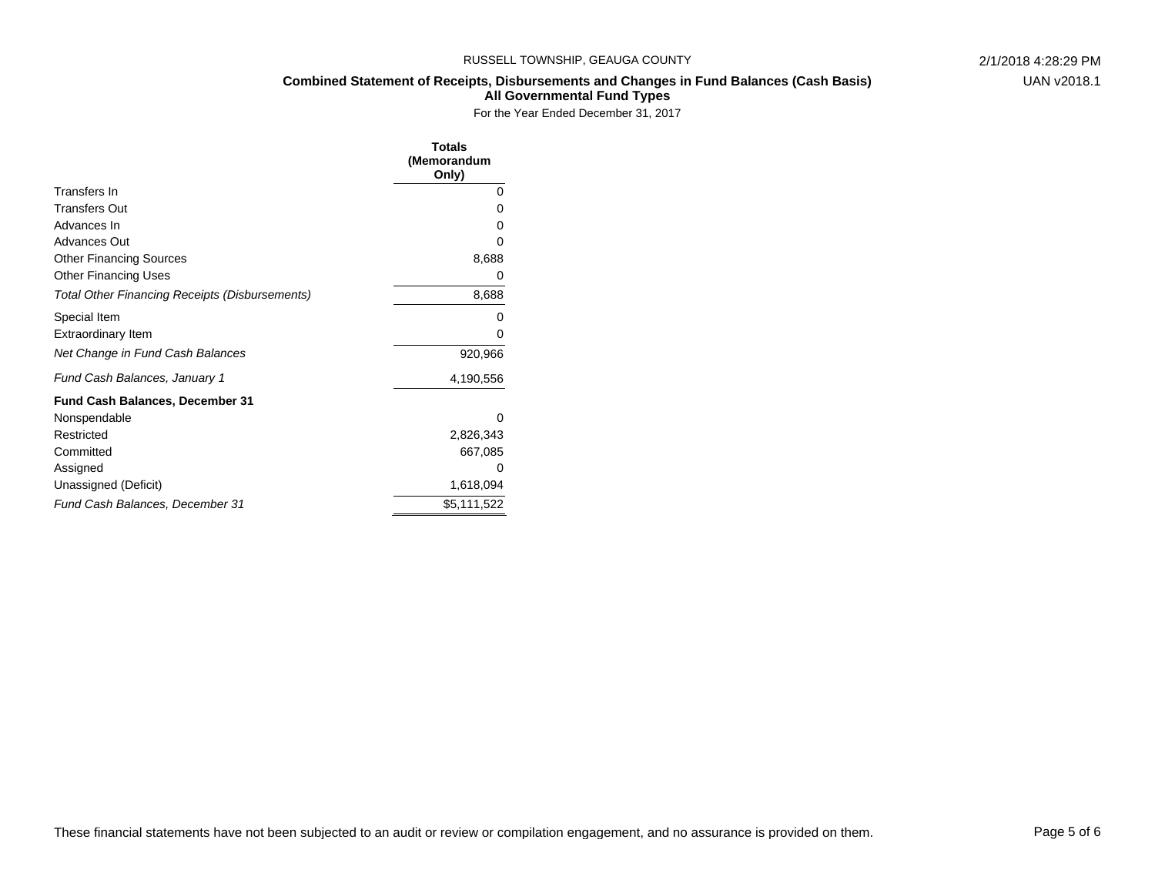**Combined Statement of Receipts, Disbursements and Changes in Fund Balances (Cash Basis)**

**All Governmental Fund Types**

|                                                       | Totals<br>(Memorandum<br>Only) |
|-------------------------------------------------------|--------------------------------|
| Transfers In                                          | 0                              |
| <b>Transfers Out</b>                                  | 0                              |
| Advances In                                           | 0                              |
| <b>Advances Out</b>                                   | 0                              |
| <b>Other Financing Sources</b>                        | 8,688                          |
| <b>Other Financing Uses</b>                           | 0                              |
| <b>Total Other Financing Receipts (Disbursements)</b> | 8,688                          |
| Special Item                                          | 0                              |
| <b>Extraordinary Item</b>                             | 0                              |
| Net Change in Fund Cash Balances                      | 920,966                        |
| Fund Cash Balances, January 1                         | 4,190,556                      |
| <b>Fund Cash Balances, December 31</b>                |                                |
| Nonspendable                                          | 0                              |
| Restricted                                            | 2,826,343                      |
| Committed                                             | 667,085                        |
| Assigned                                              | 0                              |
| Unassigned (Deficit)                                  | 1,618,094                      |
| Fund Cash Balances, December 31                       | \$5,111,522                    |